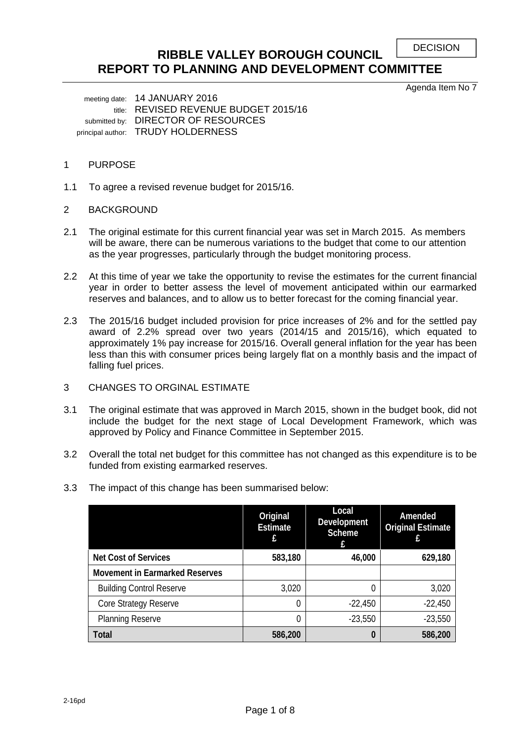```
DECISION
```
# **RIBBLE VALLEY BOROUGH COUNCIL REPORT TO PLANNING AND DEVELOPMENT COMMITTEE**

Agenda Item No 7

 meeting date: 14 JANUARY 2016 title: REVISED REVENUE BUDGET 2015/16 submitted by: DIRECTOR OF RESOURCES principal author: TRUDY HOLDERNESS

# 1 PURPOSE

1.1 To agree a revised revenue budget for 2015/16.

## 2 BACKGROUND

- 2.1 The original estimate for this current financial year was set in March 2015. As members will be aware, there can be numerous variations to the budget that come to our attention as the year progresses, particularly through the budget monitoring process.
- 2.2 At this time of year we take the opportunity to revise the estimates for the current financial year in order to better assess the level of movement anticipated within our earmarked reserves and balances, and to allow us to better forecast for the coming financial year.
- 2.3 The 2015/16 budget included provision for price increases of 2% and for the settled pay award of 2.2% spread over two years (2014/15 and 2015/16), which equated to approximately 1% pay increase for 2015/16. Overall general inflation for the year has been less than this with consumer prices being largely flat on a monthly basis and the impact of falling fuel prices.
- 3 CHANGES TO ORGINAL ESTIMATE
- 3.1 The original estimate that was approved in March 2015, shown in the budget book, did not include the budget for the next stage of Local Development Framework, which was approved by Policy and Finance Committee in September 2015.
- 3.2 Overall the total net budget for this committee has not changed as this expenditure is to be funded from existing earmarked reserves.
- 3.3 The impact of this change has been summarised below:

|                                       | Original<br><b>Estimate</b> | Local<br>Development<br><b>Scheme</b><br>£. | Amended<br><b>Original Estimate</b> |
|---------------------------------------|-----------------------------|---------------------------------------------|-------------------------------------|
| <b>Net Cost of Services</b>           | 583,180                     | 46,000                                      | 629,180                             |
| <b>Movement in Earmarked Reserves</b> |                             |                                             |                                     |
| <b>Building Control Reserve</b>       | 3,020                       | 0                                           | 3,020                               |
| Core Strategy Reserve                 |                             | $-22,450$                                   | $-22,450$                           |
| <b>Planning Reserve</b>               |                             | $-23,550$                                   | $-23,550$                           |
| Total                                 | 586,200                     | 0                                           | 586,200                             |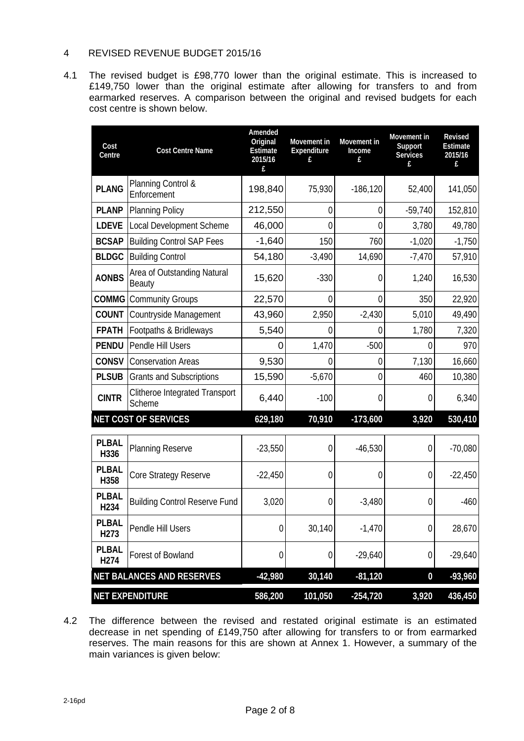# 4 REVISED REVENUE BUDGET 2015/16

4.1 The revised budget is £98,770 lower than the original estimate. This is increased to £149,750 lower than the original estimate after allowing for transfers to and from earmarked reserves. A comparison between the original and revised budgets for each cost centre is shown below.

| Cost<br>Centre                   | <b>Cost Centre Name</b>                  | Amended<br>Original<br><b>Estimate</b><br>2015/16<br>£ | Movement in<br>Expenditure<br>£ | Movement in<br>Income<br>£ | Movement in<br>Support<br><b>Services</b> | Revised<br>Estimate<br>2015/16<br>£ |
|----------------------------------|------------------------------------------|--------------------------------------------------------|---------------------------------|----------------------------|-------------------------------------------|-------------------------------------|
| <b>PLANG</b>                     | Planning Control &<br>Enforcement        | 198,840                                                | 75,930                          | $-186, 120$                | 52,400                                    | 141,050                             |
| <b>PLANP</b>                     | <b>Planning Policy</b>                   | 212,550                                                | 0                               | $\mathbf 0$                | $-59,740$                                 | 152,810                             |
| <b>LDEVE</b>                     | Local Development Scheme                 | 46,000                                                 | $\overline{0}$                  | 0                          | 3,780                                     | 49,780                              |
| <b>BCSAP</b>                     | <b>Building Control SAP Fees</b>         | $-1,640$                                               | 150                             | 760                        | $-1,020$                                  | $-1,750$                            |
| <b>BLDGC</b>                     | <b>Building Control</b>                  | 54,180                                                 | $-3,490$                        | 14,690                     | $-7,470$                                  | 57,910                              |
| <b>AONBS</b>                     | Area of Outstanding Natural<br>Beauty    | 15,620                                                 | $-330$                          | 0                          | 1,240                                     | 16,530                              |
| COMMG                            | <b>Community Groups</b>                  | 22,570                                                 | $\overline{0}$                  | $\overline{0}$             | 350                                       | 22,920                              |
| <b>COUNT</b>                     | Countryside Management                   | 43,960                                                 | 2,950                           | $-2,430$                   | 5,010                                     | 49,490                              |
| <b>FPATH</b>                     | Footpaths & Bridleways                   | 5,540                                                  | 0                               | $\overline{0}$             | 1,780                                     | 7,320                               |
| <b>PENDU</b>                     | Pendle Hill Users                        | O                                                      | 1,470                           | $-500$                     | 0                                         | 970                                 |
| CONSV                            | <b>Conservation Areas</b>                | 9,530                                                  | 0                               | $\mathbf 0$                | 7,130                                     | 16,660                              |
| <b>PLSUB</b>                     | <b>Grants and Subscriptions</b>          | 15,590                                                 | $-5,670$                        | 0                          | 460                                       | 10,380                              |
| <b>CINTR</b>                     | Clitheroe Integrated Transport<br>Scheme | 6,440                                                  | $-100$                          | $\theta$                   | $\theta$                                  | 6,340                               |
|                                  | <b>NET COST OF SERVICES</b>              | 629,180                                                | 70,910                          | $-173,600$                 | 3,920                                     | 530,410                             |
| <b>PLBAL</b><br>H336             | <b>Planning Reserve</b>                  | $-23,550$                                              | $\overline{0}$                  | $-46,530$                  | $\overline{0}$                            | $-70,080$                           |
| <b>PLBAL</b><br>H358             | Core Strategy Reserve                    | $-22,450$                                              | $\mathbf 0$                     | $\mathbf 0$                | 0                                         | $-22,450$                           |
| <b>PLBAL</b><br>H <sub>234</sub> | <b>Building Control Reserve Fund</b>     | 3,020                                                  | $\overline{0}$                  | $-3,480$                   | $\Omega$                                  | $-460$                              |
| <b>PLBAL</b><br>H <sub>273</sub> | Pendle Hill Users                        | $\boldsymbol{0}$                                       | 30,140                          | $-1,470$                   | $\boldsymbol{0}$                          | 28,670                              |
| <b>PLBAL</b><br>H <sub>274</sub> | Forest of Bowland                        | 0                                                      | $\boldsymbol{0}$                | $-29,640$                  | $\boldsymbol{0}$                          | $-29,640$                           |
|                                  | <b>NET BALANCES AND RESERVES</b>         | $-42,980$                                              | 30,140                          | $-81,120$                  | $\bf{0}$                                  | $-93,960$                           |
|                                  | <b>NET EXPENDITURE</b>                   | 586,200                                                | 101,050                         | $-254,720$                 | 3,920                                     | 436,450                             |

4.2 The difference between the revised and restated original estimate is an estimated decrease in net spending of £149,750 after allowing for transfers to or from earmarked reserves. The main reasons for this are shown at Annex 1. However, a summary of the main variances is given below: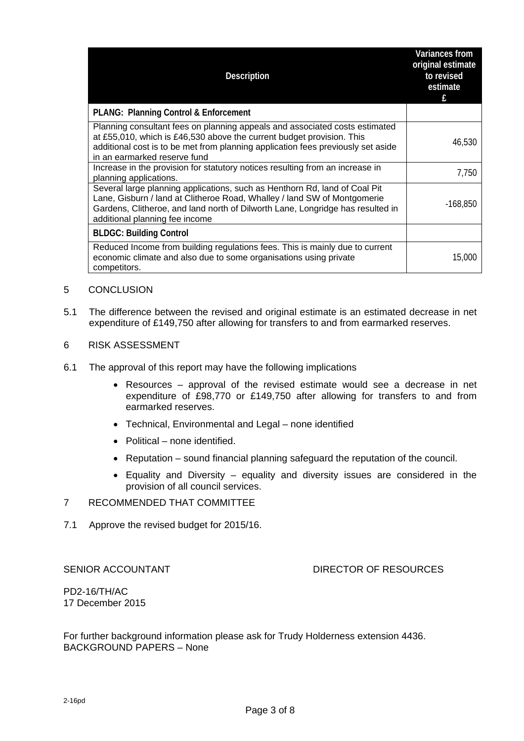| <b>Description</b>                                                                                                                                                                                                                                                         | <b>Variances from</b><br>original estimate<br>to revised<br>estimate<br>f |
|----------------------------------------------------------------------------------------------------------------------------------------------------------------------------------------------------------------------------------------------------------------------------|---------------------------------------------------------------------------|
| <b>PLANG: Planning Control &amp; Enforcement</b>                                                                                                                                                                                                                           |                                                                           |
| Planning consultant fees on planning appeals and associated costs estimated<br>at £55,010, which is £46,530 above the current budget provision. This<br>additional cost is to be met from planning application fees previously set aside<br>in an earmarked reserve fund   | 46,530                                                                    |
| Increase in the provision for statutory notices resulting from an increase in<br>planning applications.                                                                                                                                                                    | 7,750                                                                     |
| Several large planning applications, such as Henthorn Rd, land of Coal Pit<br>Lane, Gisburn / land at Clitheroe Road, Whalley / land SW of Montgomerie<br>Gardens, Clitheroe, and land north of Dilworth Lane, Longridge has resulted in<br>additional planning fee income | $-168,850$                                                                |
| <b>BLDGC: Building Control</b>                                                                                                                                                                                                                                             |                                                                           |
| Reduced Income from building regulations fees. This is mainly due to current<br>economic climate and also due to some organisations using private<br>competitors.                                                                                                          | 15,000                                                                    |

- 5 CONCLUSION
- 5.1 The difference between the revised and original estimate is an estimated decrease in net expenditure of £149,750 after allowing for transfers to and from earmarked reserves.
- 6 RISK ASSESSMENT
- 6.1 The approval of this report may have the following implications
	- Resources approval of the revised estimate would see a decrease in net expenditure of £98,770 or £149,750 after allowing for transfers to and from earmarked reserves.
	- Technical, Environmental and Legal none identified
	- Political none identified.
	- Reputation sound financial planning safeguard the reputation of the council.
	- Equality and Diversity equality and diversity issues are considered in the provision of all council services.

# 7 RECOMMENDED THAT COMMITTEE

7.1 Approve the revised budget for 2015/16.

## SENIOR ACCOUNTANT **EXECUTE:** DIRECTOR OF RESOURCES

PD2-16/TH/AC 17 December 2015

For further background information please ask for Trudy Holderness extension 4436. BACKGROUND PAPERS – None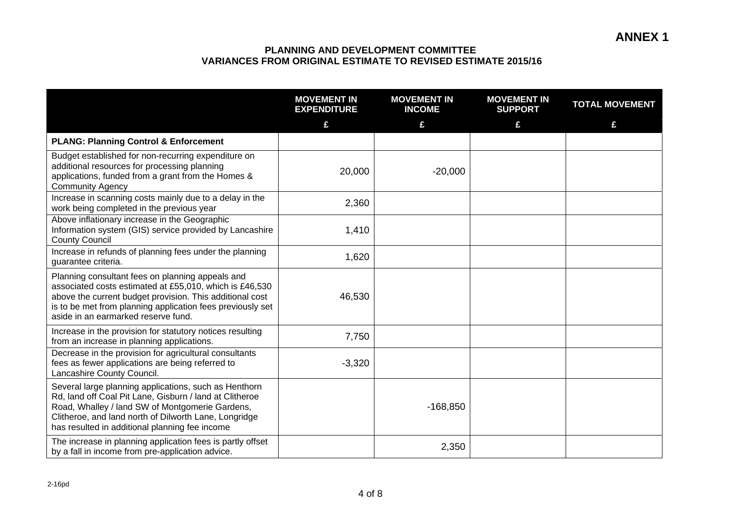|                                                                                                                                                                                                                                                                                | <b>MOVEMENT IN</b><br><b>EXPENDITURE</b> | <b>MOVEMENT IN</b><br><b>INCOME</b> | <b>MOVEMENT IN</b><br><b>SUPPORT</b> | <b>TOTAL MOVEMENT</b> |
|--------------------------------------------------------------------------------------------------------------------------------------------------------------------------------------------------------------------------------------------------------------------------------|------------------------------------------|-------------------------------------|--------------------------------------|-----------------------|
|                                                                                                                                                                                                                                                                                | £                                        | £                                   | £                                    | £                     |
| <b>PLANG: Planning Control &amp; Enforcement</b>                                                                                                                                                                                                                               |                                          |                                     |                                      |                       |
| Budget established for non-recurring expenditure on<br>additional resources for processing planning<br>applications, funded from a grant from the Homes &<br><b>Community Agency</b>                                                                                           | 20,000                                   | $-20,000$                           |                                      |                       |
| Increase in scanning costs mainly due to a delay in the<br>work being completed in the previous year                                                                                                                                                                           | 2,360                                    |                                     |                                      |                       |
| Above inflationary increase in the Geographic<br>Information system (GIS) service provided by Lancashire<br><b>County Council</b>                                                                                                                                              | 1,410                                    |                                     |                                      |                       |
| Increase in refunds of planning fees under the planning<br>guarantee criteria.                                                                                                                                                                                                 | 1,620                                    |                                     |                                      |                       |
| Planning consultant fees on planning appeals and<br>associated costs estimated at £55,010, which is £46,530<br>above the current budget provision. This additional cost<br>is to be met from planning application fees previously set<br>aside in an earmarked reserve fund.   | 46,530                                   |                                     |                                      |                       |
| Increase in the provision for statutory notices resulting<br>from an increase in planning applications.                                                                                                                                                                        | 7,750                                    |                                     |                                      |                       |
| Decrease in the provision for agricultural consultants<br>fees as fewer applications are being referred to<br>Lancashire County Council.                                                                                                                                       | $-3,320$                                 |                                     |                                      |                       |
| Several large planning applications, such as Henthorn<br>Rd, land off Coal Pit Lane, Gisburn / land at Clitheroe<br>Road, Whalley / land SW of Montgomerie Gardens,<br>Clitheroe, and land north of Dilworth Lane, Longridge<br>has resulted in additional planning fee income |                                          | $-168,850$                          |                                      |                       |
| The increase in planning application fees is partly offset<br>by a fall in income from pre-application advice.                                                                                                                                                                 |                                          | 2,350                               |                                      |                       |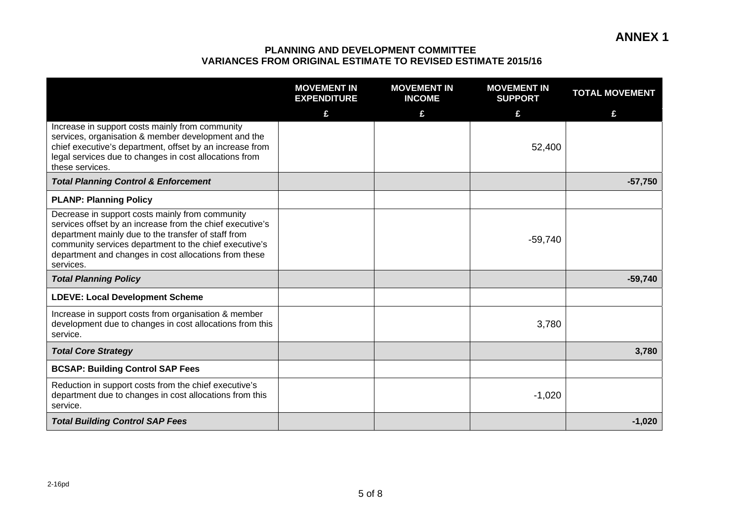|                                                                                                                                                                                                                                                                                                     | <b>MOVEMENT IN</b><br><b>EXPENDITURE</b> | <b>MOVEMENT IN</b><br><b>INCOME</b> | <b>MOVEMENT IN</b><br><b>SUPPORT</b> | <b>TOTAL MOVEMENT</b> |
|-----------------------------------------------------------------------------------------------------------------------------------------------------------------------------------------------------------------------------------------------------------------------------------------------------|------------------------------------------|-------------------------------------|--------------------------------------|-----------------------|
|                                                                                                                                                                                                                                                                                                     | £                                        | £                                   | £                                    | £                     |
| Increase in support costs mainly from community<br>services, organisation & member development and the<br>chief executive's department, offset by an increase from<br>legal services due to changes in cost allocations from<br>these services.                                                     |                                          |                                     | 52,400                               |                       |
| <b>Total Planning Control &amp; Enforcement</b>                                                                                                                                                                                                                                                     |                                          |                                     |                                      | $-57,750$             |
| <b>PLANP: Planning Policy</b>                                                                                                                                                                                                                                                                       |                                          |                                     |                                      |                       |
| Decrease in support costs mainly from community<br>services offset by an increase from the chief executive's<br>department mainly due to the transfer of staff from<br>community services department to the chief executive's<br>department and changes in cost allocations from these<br>services. |                                          |                                     | $-59,740$                            |                       |
| <b>Total Planning Policy</b>                                                                                                                                                                                                                                                                        |                                          |                                     |                                      | $-59,740$             |
| <b>LDEVE: Local Development Scheme</b>                                                                                                                                                                                                                                                              |                                          |                                     |                                      |                       |
| Increase in support costs from organisation & member<br>development due to changes in cost allocations from this<br>service.                                                                                                                                                                        |                                          |                                     | 3,780                                |                       |
| <b>Total Core Strategy</b>                                                                                                                                                                                                                                                                          |                                          |                                     |                                      | 3,780                 |
| <b>BCSAP: Building Control SAP Fees</b>                                                                                                                                                                                                                                                             |                                          |                                     |                                      |                       |
| Reduction in support costs from the chief executive's<br>department due to changes in cost allocations from this<br>service.                                                                                                                                                                        |                                          |                                     | $-1,020$                             |                       |
| <b>Total Building Control SAP Fees</b>                                                                                                                                                                                                                                                              |                                          |                                     |                                      | $-1,020$              |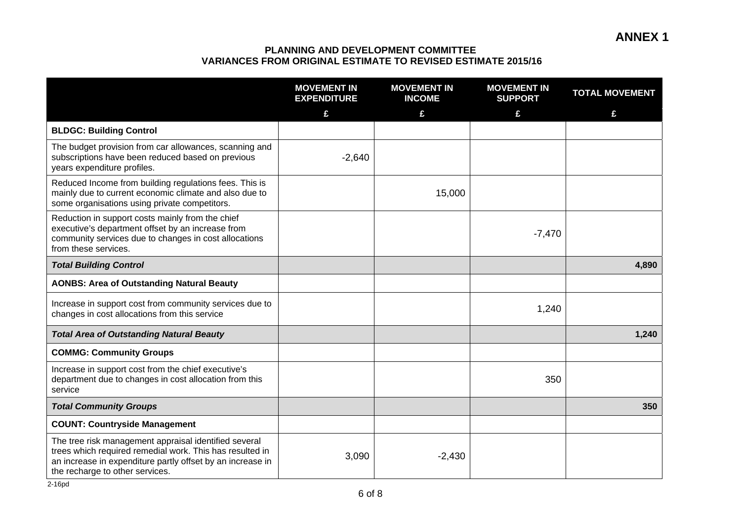|                                                                                                                                                                                                                    | <b>MOVEMENT IN</b><br><b>EXPENDITURE</b> | <b>MOVEMENT IN</b><br><b>INCOME</b> | <b>MOVEMENT IN</b><br><b>SUPPORT</b> | <b>TOTAL MOVEMENT</b> |
|--------------------------------------------------------------------------------------------------------------------------------------------------------------------------------------------------------------------|------------------------------------------|-------------------------------------|--------------------------------------|-----------------------|
|                                                                                                                                                                                                                    | £                                        | £                                   | £                                    | £                     |
| <b>BLDGC: Building Control</b>                                                                                                                                                                                     |                                          |                                     |                                      |                       |
| The budget provision from car allowances, scanning and<br>subscriptions have been reduced based on previous<br>years expenditure profiles.                                                                         | $-2,640$                                 |                                     |                                      |                       |
| Reduced Income from building regulations fees. This is<br>mainly due to current economic climate and also due to<br>some organisations using private competitors.                                                  |                                          | 15,000                              |                                      |                       |
| Reduction in support costs mainly from the chief<br>executive's department offset by an increase from<br>community services due to changes in cost allocations<br>from these services.                             |                                          |                                     | $-7,470$                             |                       |
| <b>Total Building Control</b>                                                                                                                                                                                      |                                          |                                     |                                      | 4,890                 |
| <b>AONBS: Area of Outstanding Natural Beauty</b>                                                                                                                                                                   |                                          |                                     |                                      |                       |
| Increase in support cost from community services due to<br>changes in cost allocations from this service                                                                                                           |                                          |                                     | 1,240                                |                       |
| <b>Total Area of Outstanding Natural Beauty</b>                                                                                                                                                                    |                                          |                                     |                                      | 1,240                 |
| <b>COMMG: Community Groups</b>                                                                                                                                                                                     |                                          |                                     |                                      |                       |
| Increase in support cost from the chief executive's<br>department due to changes in cost allocation from this<br>service                                                                                           |                                          |                                     | 350                                  |                       |
| <b>Total Community Groups</b>                                                                                                                                                                                      |                                          |                                     |                                      | 350                   |
| <b>COUNT: Countryside Management</b>                                                                                                                                                                               |                                          |                                     |                                      |                       |
| The tree risk management appraisal identified several<br>trees which required remedial work. This has resulted in<br>an increase in expenditure partly offset by an increase in<br>the recharge to other services. | 3,090                                    | $-2,430$                            |                                      |                       |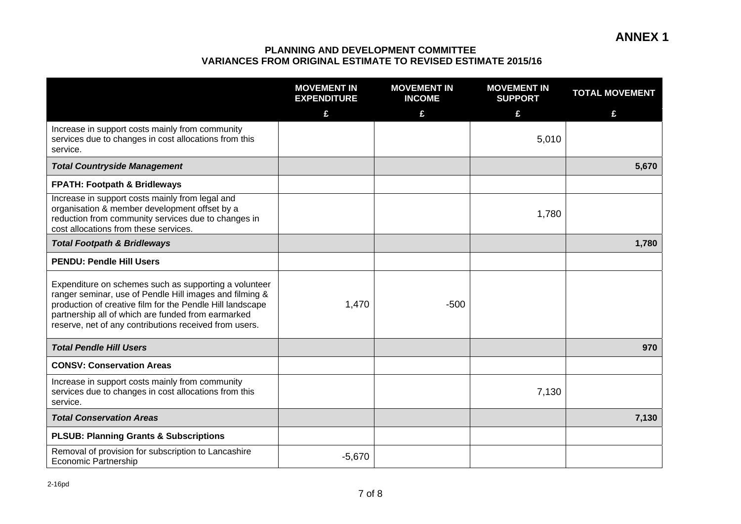|                                                                                                                                                                                                                                                                                               | <b>MOVEMENT IN</b><br><b>EXPENDITURE</b> | <b>MOVEMENT IN</b><br><b>INCOME</b> | <b>MOVEMENT IN</b><br><b>SUPPORT</b> | <b>TOTAL MOVEMENT</b> |
|-----------------------------------------------------------------------------------------------------------------------------------------------------------------------------------------------------------------------------------------------------------------------------------------------|------------------------------------------|-------------------------------------|--------------------------------------|-----------------------|
|                                                                                                                                                                                                                                                                                               | £                                        | £                                   | £                                    | £                     |
| Increase in support costs mainly from community<br>services due to changes in cost allocations from this<br>service.                                                                                                                                                                          |                                          |                                     | 5,010                                |                       |
| <b>Total Countryside Management</b>                                                                                                                                                                                                                                                           |                                          |                                     |                                      | 5,670                 |
| <b>FPATH: Footpath &amp; Bridleways</b>                                                                                                                                                                                                                                                       |                                          |                                     |                                      |                       |
| Increase in support costs mainly from legal and<br>organisation & member development offset by a<br>reduction from community services due to changes in<br>cost allocations from these services.                                                                                              |                                          |                                     | 1,780                                |                       |
| <b>Total Footpath &amp; Bridleways</b>                                                                                                                                                                                                                                                        |                                          |                                     |                                      | 1,780                 |
| <b>PENDU: Pendle Hill Users</b>                                                                                                                                                                                                                                                               |                                          |                                     |                                      |                       |
| Expenditure on schemes such as supporting a volunteer<br>ranger seminar, use of Pendle Hill images and filming &<br>production of creative film for the Pendle Hill landscape<br>partnership all of which are funded from earmarked<br>reserve, net of any contributions received from users. | 1,470                                    | $-500$                              |                                      |                       |
| <b>Total Pendle Hill Users</b>                                                                                                                                                                                                                                                                |                                          |                                     |                                      | 970                   |
| <b>CONSV: Conservation Areas</b>                                                                                                                                                                                                                                                              |                                          |                                     |                                      |                       |
| Increase in support costs mainly from community<br>services due to changes in cost allocations from this<br>service.                                                                                                                                                                          |                                          |                                     | 7,130                                |                       |
| <b>Total Conservation Areas</b>                                                                                                                                                                                                                                                               |                                          |                                     |                                      | 7,130                 |
| <b>PLSUB: Planning Grants &amp; Subscriptions</b>                                                                                                                                                                                                                                             |                                          |                                     |                                      |                       |
| Removal of provision for subscription to Lancashire<br><b>Economic Partnership</b>                                                                                                                                                                                                            | $-5,670$                                 |                                     |                                      |                       |